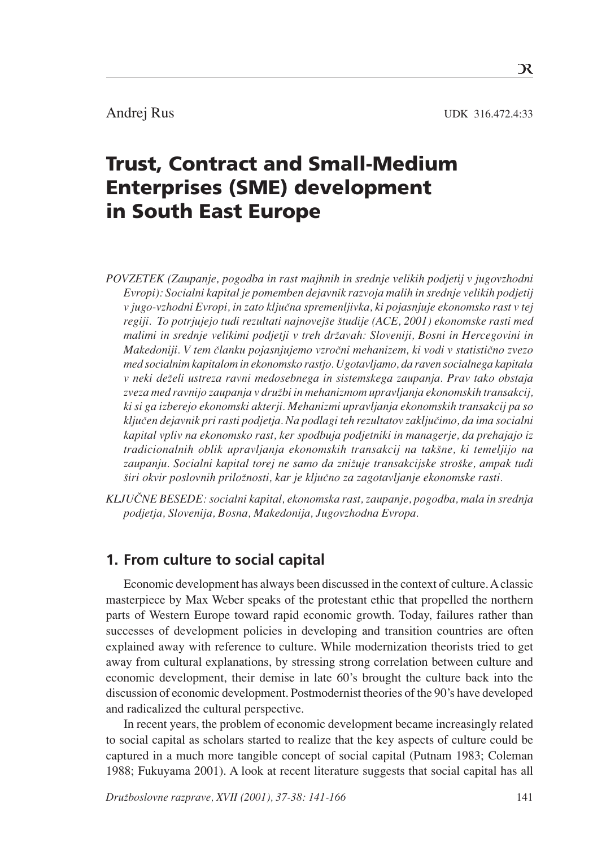Andrej Rus UDK 316.472.4:33

# Trust, Contract and Small-Medium Enterprises (SME) development in South East Europe

- *POVZETEK (Zaupanje, pogodba in rast majhnih in srednje velikih podjetij v jugovzhodni Evropi): Socialni kapital je pomemben dejavnik razvoja malih in srednje velikih podjetij v jugo-vzhodni Evropi, in zato kljuËna spremenljivka, ki pojasnjuje ekonomsko rast v tej regiji. To potrjujejo tudi rezultati najnovejše študije (ACE, 2001) ekonomske rasti med malimi in srednje velikimi podjetji v treh dræavah: Sloveniji, Bosni in Hercegovini in Makedoniji. V tem Ëlanku pojasnjujemo vzroËni mehanizem, ki vodi v statistiËno zvezo med socialnim kapitalom in ekonomsko rastjo. Ugotavljamo, da raven socialnega kapitala v neki deæeli ustreza ravni medosebnega in sistemskega zaupanja. Prav tako obstaja* zveza med ravnijo zaupanja v družbi in mehanizmom upravljanja ekonomskih transakcij, *ki si ga izberejo ekonomski akterji. Mehanizmi upravljanja ekonomskih transakcij pa so kljuËen dejavnik pri rasti podjetja. Na podlagi teh rezultatov zakljuËimo, da ima socialni kapital vpliv na ekonomsko rast, ker spodbuja podjetniki in managerje, da prehajajo iz tradicionalnih oblik upravljanja ekonomskih transakcij na takπne, ki temeljijo na* zaupanju. Socialni kapital torej ne samo da znižuje transakcijske stroške, ampak tudi *πiri okvir poslovnih priloænosti, kar je kljuËno za zagotavljanje ekonomske rasti.*
- *KLJU»NE BESEDE: socialni kapital, ekonomska rast, zaupanje, pogodba, mala in srednja podjetja, Slovenija, Bosna, Makedonija, Jugovzhodna Evropa.*

## **1. From culture to social capital**

Economic development has always been discussed in the context of culture. A classic masterpiece by Max Weber speaks of the protestant ethic that propelled the northern parts of Western Europe toward rapid economic growth. Today, failures rather than successes of development policies in developing and transition countries are often explained away with reference to culture. While modernization theorists tried to get away from cultural explanations, by stressing strong correlation between culture and economic development, their demise in late 60's brought the culture back into the discussion of economic development. Postmodernist theories of the 90's have developed and radicalized the cultural perspective.

In recent years, the problem of economic development became increasingly related to social capital as scholars started to realize that the key aspects of culture could be captured in a much more tangible concept of social capital (Putnam 1983; Coleman 1988; Fukuyama 2001). A look at recent literature suggests that social capital has all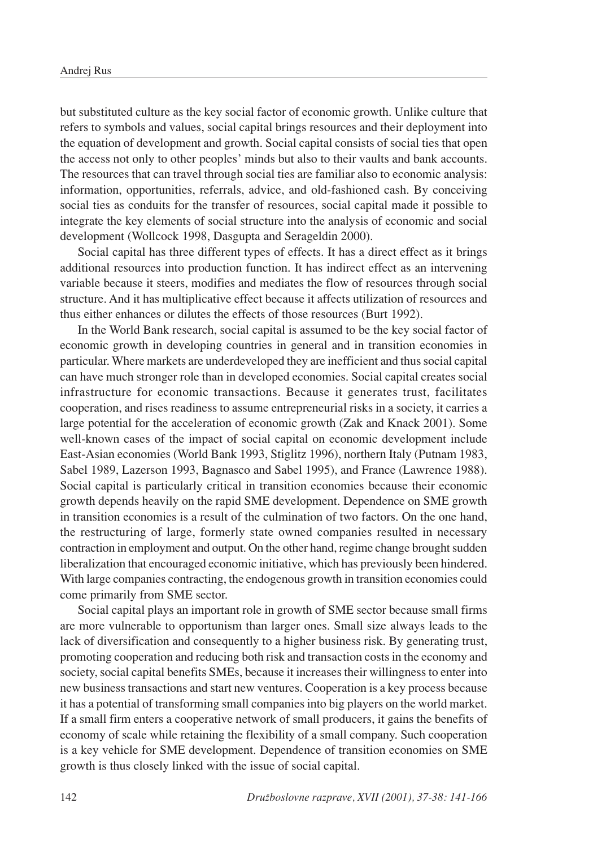but substituted culture as the key social factor of economic growth. Unlike culture that refers to symbols and values, social capital brings resources and their deployment into the equation of development and growth. Social capital consists of social ties that open the access not only to other peoples' minds but also to their vaults and bank accounts. The resources that can travel through social ties are familiar also to economic analysis: information, opportunities, referrals, advice, and old-fashioned cash. By conceiving social ties as conduits for the transfer of resources, social capital made it possible to integrate the key elements of social structure into the analysis of economic and social development (Wollcock 1998, Dasgupta and Serageldin 2000).

Social capital has three different types of effects. It has a direct effect as it brings additional resources into production function. It has indirect effect as an intervening variable because it steers, modifies and mediates the flow of resources through social structure. And it has multiplicative effect because it affects utilization of resources and thus either enhances or dilutes the effects of those resources (Burt 1992).

In the World Bank research, social capital is assumed to be the key social factor of economic growth in developing countries in general and in transition economies in particular. Where markets are underdeveloped they are inefficient and thus social capital can have much stronger role than in developed economies. Social capital creates social infrastructure for economic transactions. Because it generates trust, facilitates cooperation, and rises readiness to assume entrepreneurial risks in a society, it carries a large potential for the acceleration of economic growth (Zak and Knack 2001). Some well-known cases of the impact of social capital on economic development include East-Asian economies (World Bank 1993, Stiglitz 1996), northern Italy (Putnam 1983, Sabel 1989, Lazerson 1993, Bagnasco and Sabel 1995), and France (Lawrence 1988). Social capital is particularly critical in transition economies because their economic growth depends heavily on the rapid SME development. Dependence on SME growth in transition economies is a result of the culmination of two factors. On the one hand, the restructuring of large, formerly state owned companies resulted in necessary contraction in employment and output. On the other hand, regime change brought sudden liberalization that encouraged economic initiative, which has previously been hindered. With large companies contracting, the endogenous growth in transition economies could come primarily from SME sector.

Social capital plays an important role in growth of SME sector because small firms are more vulnerable to opportunism than larger ones. Small size always leads to the lack of diversification and consequently to a higher business risk. By generating trust, promoting cooperation and reducing both risk and transaction costs in the economy and society, social capital benefits SMEs, because it increases their willingness to enter into new business transactions and start new ventures. Cooperation is a key process because it has a potential of transforming small companies into big players on the world market. If a small firm enters a cooperative network of small producers, it gains the benefits of economy of scale while retaining the flexibility of a small company. Such cooperation is a key vehicle for SME development. Dependence of transition economies on SME growth is thus closely linked with the issue of social capital.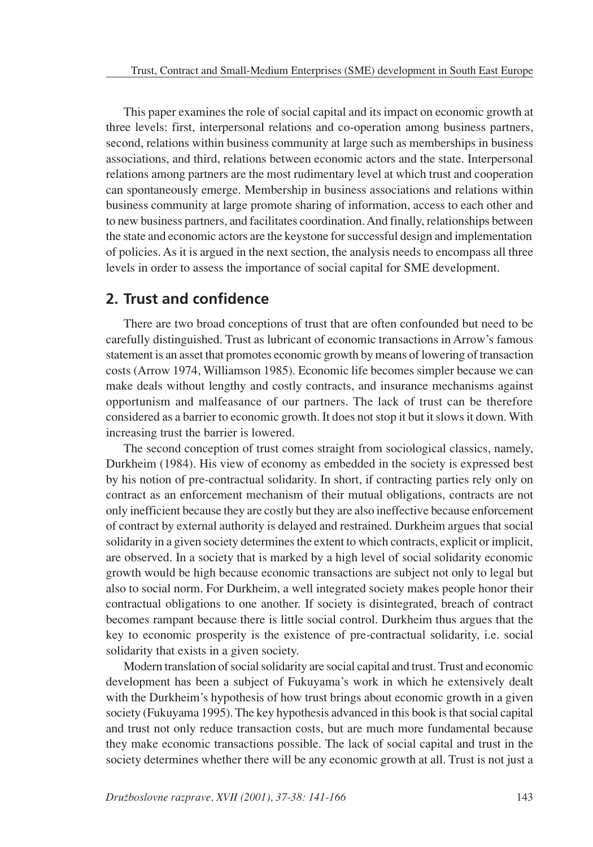This paper examines the role of social capital and its impact on economic growth at three levels: first, interpersonal relations and co-operation among business partners, second, relations within business community at large such as memberships in business associations, and third, relations between economic actors and the state. Interpersonal relations among partners are the most rudimentary level at which trust and cooperation can spontaneously emerge. Membership in business associations and relations within business community at large promote sharing of information, access to each other and to new business partners, and facilitates coordination. And finally, relationships between the state and economic actors are the keystone for successful design and implementation of policies. As it is argued in the next section, the analysis needs to encompass all three levels in order to assess the importance of social capital for SME development.

#### **2. Trust and confidence**

There are two broad conceptions of trust that are often confounded but need to be carefully distinguished. Trust as lubricant of economic transactions in Arrow's famous statement is an asset that promotes economic growth by means of lowering of transaction costs (Arrow 1974, Williamson 1985). Economic life becomes simpler because we can make deals without lengthy and costly contracts, and insurance mechanisms against opportunism and malfeasance of our partners. The lack of trust can be therefore considered as a barrier to economic growth. It does not stop it but it slows it down. With increasing trust the barrier is lowered.

The second conception of trust comes straight from sociological classics, namely, Durkheim (1984). His view of economy as embedded in the society is expressed best by his notion of pre-contractual solidarity. In short, if contracting parties rely only on contract as an enforcement mechanism of their mutual obligations, contracts are not only inefficient because they are costly but they are also ineffective because enforcement of contract by external authority is delayed and restrained. Durkheim argues that social solidarity in a given society determines the extent to which contracts, explicit or implicit, are observed. In a society that is marked by a high level of social solidarity economic growth would be high because economic transactions are subject not only to legal but also to social norm. For Durkheim, a well integrated society makes people honor their contractual obligations to one another. If society is disintegrated, breach of contract becomes rampant because there is little social control. Durkheim thus argues that the key to economic prosperity is the existence of pre-contractual solidarity, i.e. social solidarity that exists in a given society.

Modern translation of social solidarity are social capital and trust. Trust and economic development has been a subject of Fukuyama's work in which he extensively dealt with the Durkheim's hypothesis of how trust brings about economic growth in a given society (Fukuyama 1995). The key hypothesis advanced in this book is that social capital and trust not only reduce transaction costs, but are much more fundamental because they make economic transactions possible. The lack of social capital and trust in the society determines whether there will be any economic growth at all. Trust is not just a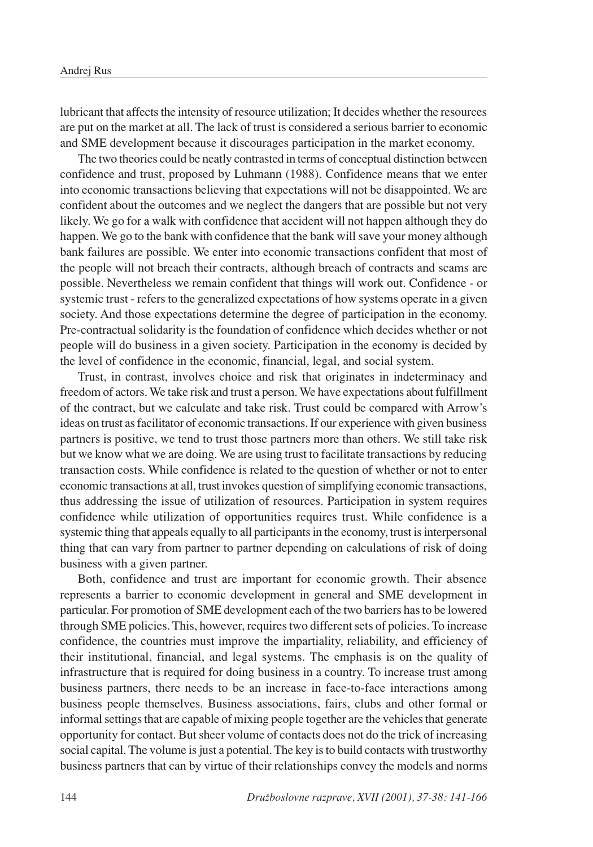lubricant that affects the intensity of resource utilization; It decides whether the resources are put on the market at all. The lack of trust is considered a serious barrier to economic and SME development because it discourages participation in the market economy.

The two theories could be neatly contrasted in terms of conceptual distinction between confidence and trust, proposed by Luhmann (1988). Confidence means that we enter into economic transactions believing that expectations will not be disappointed. We are confident about the outcomes and we neglect the dangers that are possible but not very likely. We go for a walk with confidence that accident will not happen although they do happen. We go to the bank with confidence that the bank will save your money although bank failures are possible. We enter into economic transactions confident that most of the people will not breach their contracts, although breach of contracts and scams are possible. Nevertheless we remain confident that things will work out. Confidence - or systemic trust - refers to the generalized expectations of how systems operate in a given society. And those expectations determine the degree of participation in the economy. Pre-contractual solidarity is the foundation of confidence which decides whether or not people will do business in a given society. Participation in the economy is decided by the level of confidence in the economic, financial, legal, and social system.

Trust, in contrast, involves choice and risk that originates in indeterminacy and freedom of actors. We take risk and trust a person. We have expectations about fulfillment of the contract, but we calculate and take risk. Trust could be compared with Arrow's ideas on trust as facilitator of economic transactions. If our experience with given business partners is positive, we tend to trust those partners more than others. We still take risk but we know what we are doing. We are using trust to facilitate transactions by reducing transaction costs. While confidence is related to the question of whether or not to enter economic transactions at all, trust invokes question of simplifying economic transactions, thus addressing the issue of utilization of resources. Participation in system requires confidence while utilization of opportunities requires trust. While confidence is a systemic thing that appeals equally to all participants in the economy, trust is interpersonal thing that can vary from partner to partner depending on calculations of risk of doing business with a given partner.

Both, confidence and trust are important for economic growth. Their absence represents a barrier to economic development in general and SME development in particular. For promotion of SME development each of the two barriers has to be lowered through SME policies. This, however, requires two different sets of policies. To increase confidence, the countries must improve the impartiality, reliability, and efficiency of their institutional, financial, and legal systems. The emphasis is on the quality of infrastructure that is required for doing business in a country. To increase trust among business partners, there needs to be an increase in face-to-face interactions among business people themselves. Business associations, fairs, clubs and other formal or informal settings that are capable of mixing people together are the vehicles that generate opportunity for contact. But sheer volume of contacts does not do the trick of increasing social capital. The volume is just a potential. The key is to build contacts with trustworthy business partners that can by virtue of their relationships convey the models and norms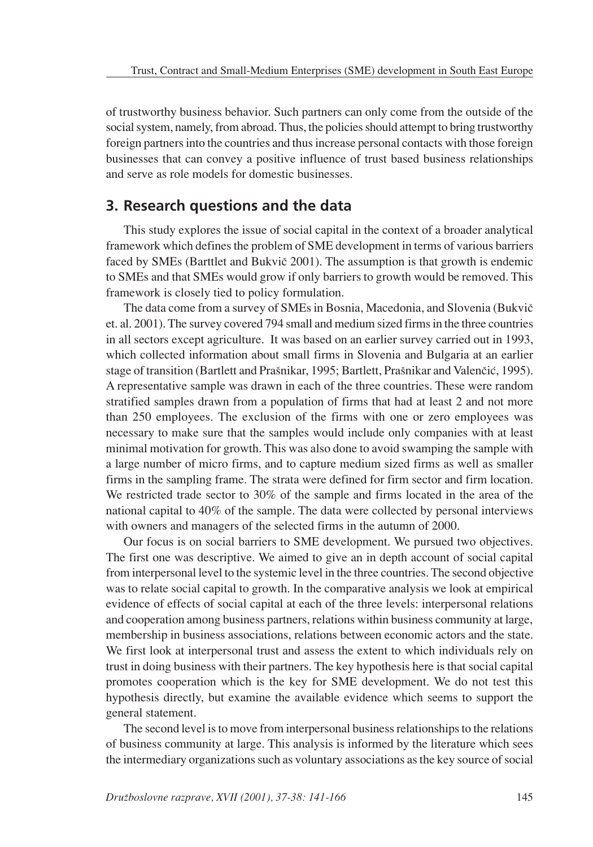of trustworthy business behavior. Such partners can only come from the outside of the social system, namely, from abroad. Thus, the policies should attempt to bring trustworthy foreign partners into the countries and thus increase personal contacts with those foreign businesses that can convey a positive influence of trust based business relationships and serve as role models for domestic businesses.

#### **3. Research questions and the data**

This study explores the issue of social capital in the context of a broader analytical framework which defines the problem of SME development in terms of various barriers faced by SMEs (Barttlet and Bukvič 2001). The assumption is that growth is endemic to SMEs and that SMEs would grow if only barriers to growth would be removed. This framework is closely tied to policy formulation.

The data come from a survey of SMEs in Bosnia, Macedonia, and Slovenia (BukviË et. al. 2001). The survey covered 794 small and medium sized firms in the three countries in all sectors except agriculture. It was based on an earlier survey carried out in 1993, which collected information about small firms in Slovenia and Bulgaria at an earlier stage of transition (Bartlett and Prašnikar, 1995; Bartlett, Prašnikar and Valenčić, 1995). A representative sample was drawn in each of the three countries. These were random stratified samples drawn from a population of firms that had at least 2 and not more than 250 employees. The exclusion of the firms with one or zero employees was necessary to make sure that the samples would include only companies with at least minimal motivation for growth. This was also done to avoid swamping the sample with a large number of micro firms, and to capture medium sized firms as well as smaller firms in the sampling frame. The strata were defined for firm sector and firm location. We restricted trade sector to 30% of the sample and firms located in the area of the national capital to 40% of the sample. The data were collected by personal interviews with owners and managers of the selected firms in the autumn of 2000.

Our focus is on social barriers to SME development. We pursued two objectives. The first one was descriptive. We aimed to give an in depth account of social capital from interpersonal level to the systemic level in the three countries. The second objective was to relate social capital to growth. In the comparative analysis we look at empirical evidence of effects of social capital at each of the three levels: interpersonal relations and cooperation among business partners, relations within business community at large, membership in business associations, relations between economic actors and the state. We first look at interpersonal trust and assess the extent to which individuals rely on trust in doing business with their partners. The key hypothesis here is that social capital promotes cooperation which is the key for SME development. We do not test this hypothesis directly, but examine the available evidence which seems to support the general statement.

The second level is to move from interpersonal business relationships to the relations of business community at large. This analysis is informed by the literature which sees the intermediary organizations such as voluntary associations as the key source of social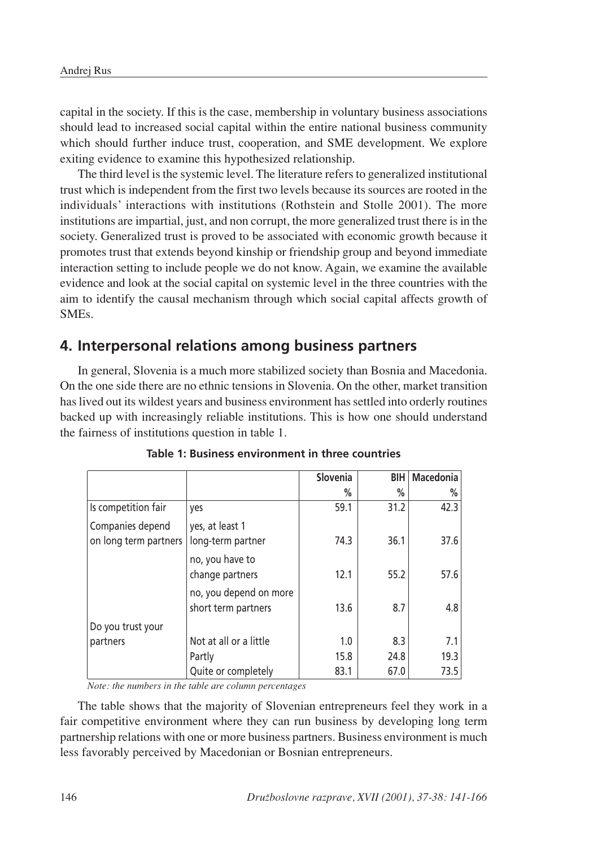capital in the society. If this is the case, membership in voluntary business associations should lead to increased social capital within the entire national business community which should further induce trust, cooperation, and SME development. We explore exiting evidence to examine this hypothesized relationship.

The third level is the systemic level. The literature refers to generalized institutional trust which is independent from the first two levels because its sources are rooted in the individuals' interactions with institutions (Rothstein and Stolle 2001). The more institutions are impartial, just, and non corrupt, the more generalized trust there is in the society. Generalized trust is proved to be associated with economic growth because it promotes trust that extends beyond kinship or friendship group and beyond immediate interaction setting to include people we do not know. Again, we examine the available evidence and look at the social capital on systemic level in the three countries with the aim to identify the causal mechanism through which social capital affects growth of SMEs.

#### **4. Interpersonal relations among business partners**

In general, Slovenia is a much more stabilized society than Bosnia and Macedonia. On the one side there are no ethnic tensions in Slovenia. On the other, market transition has lived out its wildest years and business environment has settled into orderly routines backed up with increasingly reliable institutions. This is how one should understand the fairness of institutions question in table 1.

|                       |                        | Slovenia | <b>BIH</b> | <b>Macedonia</b> |
|-----------------------|------------------------|----------|------------|------------------|
|                       |                        | %        | %          | %                |
| Is competition fair   | ves                    | 59.1     | 31.2       | 42.3             |
| Companies depend      | yes, at least 1        |          |            |                  |
| on long term partners | long-term partner      | 74.3     | 36.1       | 37.6             |
|                       | no, you have to        |          |            |                  |
|                       | change partners        | 12.1     | 55.2       | 57.6             |
|                       | no, you depend on more |          |            |                  |
|                       | short term partners    | 13.6     | 8.7        | 4.8              |
| Do you trust your     |                        |          |            |                  |
| partners              | Not at all or a little | 1.0      | 8.3        | 7.1              |
|                       | Partly                 | 15.8     | 24.8       | 19.3             |
|                       | Quite or completely    | 83.1     | 67.0       | 73.5             |

 *Note: the numbers in the table are column percentages*

The table shows that the majority of Slovenian entrepreneurs feel they work in a fair competitive environment where they can run business by developing long term partnership relations with one or more business partners. Business environment is much less favorably perceived by Macedonian or Bosnian entrepreneurs.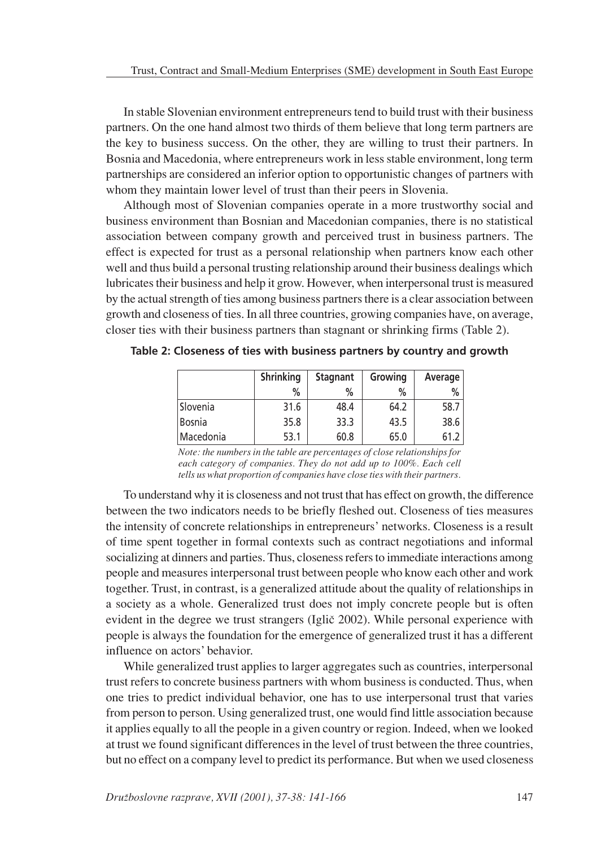In stable Slovenian environment entrepreneurs tend to build trust with their business partners. On the one hand almost two thirds of them believe that long term partners are the key to business success. On the other, they are willing to trust their partners. In Bosnia and Macedonia, where entrepreneurs work in less stable environment, long term partnerships are considered an inferior option to opportunistic changes of partners with whom they maintain lower level of trust than their peers in Slovenia.

Although most of Slovenian companies operate in a more trustworthy social and business environment than Bosnian and Macedonian companies, there is no statistical association between company growth and perceived trust in business partners. The effect is expected for trust as a personal relationship when partners know each other well and thus build a personal trusting relationship around their business dealings which lubricates their business and help it grow. However, when interpersonal trust is measured by the actual strength of ties among business partners there is a clear association between growth and closeness of ties. In all three countries, growing companies have, on average, closer ties with their business partners than stagnant or shrinking firms (Table 2).

|               | <b>Shrinking</b> | <b>Stagnant</b> | Growing | Average |
|---------------|------------------|-----------------|---------|---------|
|               | %                | %               | $\%$    | %       |
| Slovenia      | 31.6             | 48.4            | 64.2    | 58.7    |
| <b>Bosnia</b> | 35.8             | 33.3            | 43.5    | 38.6    |
| Macedonia     | 53.1             | 60.8            | 65.0    | 61.2    |

**Table 2: Closeness of ties with business partners by country and growth**

*Note: the numbers in the table are percentages of close relationships for each category of companies. They do not add up to 100%. Each cell tells us what proportion of companies have close ties with their partners.*

To understand why it is closeness and not trust that has effect on growth, the difference between the two indicators needs to be briefly fleshed out. Closeness of ties measures the intensity of concrete relationships in entrepreneurs' networks. Closeness is a result of time spent together in formal contexts such as contract negotiations and informal socializing at dinners and parties. Thus, closeness refers to immediate interactions among people and measures interpersonal trust between people who know each other and work together. Trust, in contrast, is a generalized attitude about the quality of relationships in a society as a whole. Generalized trust does not imply concrete people but is often evident in the degree we trust strangers (Iglič 2002). While personal experience with people is always the foundation for the emergence of generalized trust it has a different influence on actors' behavior.

While generalized trust applies to larger aggregates such as countries, interpersonal trust refers to concrete business partners with whom business is conducted. Thus, when one tries to predict individual behavior, one has to use interpersonal trust that varies from person to person. Using generalized trust, one would find little association because it applies equally to all the people in a given country or region. Indeed, when we looked at trust we found significant differences in the level of trust between the three countries, but no effect on a company level to predict its performance. But when we used closeness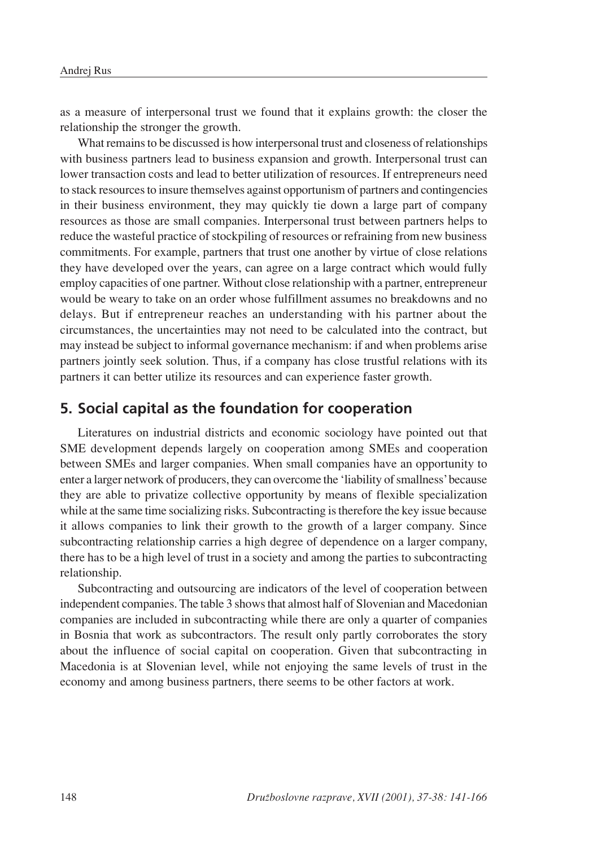as a measure of interpersonal trust we found that it explains growth: the closer the relationship the stronger the growth.

What remains to be discussed is how interpersonal trust and closeness of relationships with business partners lead to business expansion and growth. Interpersonal trust can lower transaction costs and lead to better utilization of resources. If entrepreneurs need to stack resources to insure themselves against opportunism of partners and contingencies in their business environment, they may quickly tie down a large part of company resources as those are small companies. Interpersonal trust between partners helps to reduce the wasteful practice of stockpiling of resources or refraining from new business commitments. For example, partners that trust one another by virtue of close relations they have developed over the years, can agree on a large contract which would fully employ capacities of one partner. Without close relationship with a partner, entrepreneur would be weary to take on an order whose fulfillment assumes no breakdowns and no delays. But if entrepreneur reaches an understanding with his partner about the circumstances, the uncertainties may not need to be calculated into the contract, but may instead be subject to informal governance mechanism: if and when problems arise partners jointly seek solution. Thus, if a company has close trustful relations with its partners it can better utilize its resources and can experience faster growth.

#### **5. Social capital as the foundation for cooperation**

Literatures on industrial districts and economic sociology have pointed out that SME development depends largely on cooperation among SMEs and cooperation between SMEs and larger companies. When small companies have an opportunity to enter a larger network of producers, they can overcome the 'liability of smallness' because they are able to privatize collective opportunity by means of flexible specialization while at the same time socializing risks. Subcontracting is therefore the key issue because it allows companies to link their growth to the growth of a larger company. Since subcontracting relationship carries a high degree of dependence on a larger company, there has to be a high level of trust in a society and among the parties to subcontracting relationship.

Subcontracting and outsourcing are indicators of the level of cooperation between independent companies. The table 3 shows that almost half of Slovenian and Macedonian companies are included in subcontracting while there are only a quarter of companies in Bosnia that work as subcontractors. The result only partly corroborates the story about the influence of social capital on cooperation. Given that subcontracting in Macedonia is at Slovenian level, while not enjoying the same levels of trust in the economy and among business partners, there seems to be other factors at work.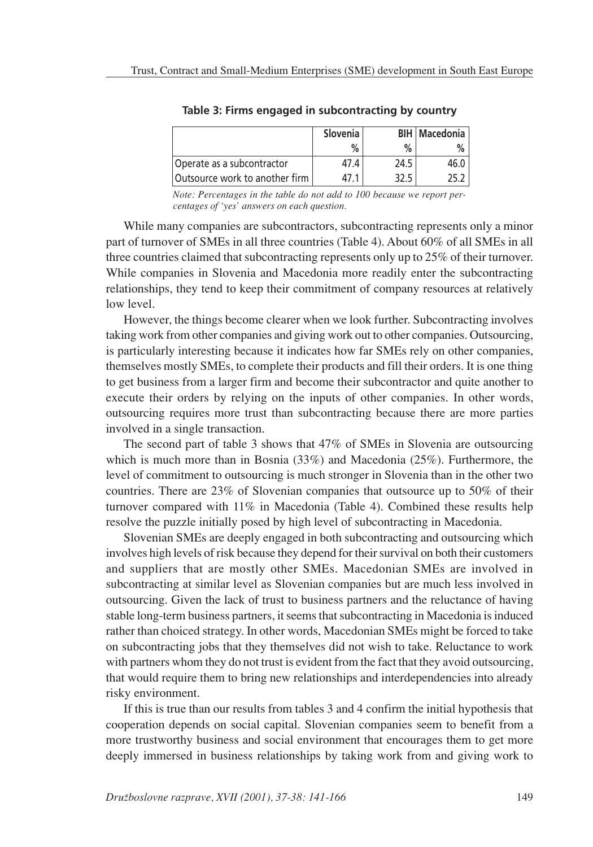|                                | Slovenia |      | <b>BIH   Macedonia</b> |
|--------------------------------|----------|------|------------------------|
|                                | %        | $\%$ | ℅                      |
| Operate as a subcontractor     | 47.4     | 24.5 | 46.0                   |
| Outsource work to another firm |          |      |                        |

**Table 3: Firms engaged in subcontracting by country**

*Note: Percentages in the table do not add to 100 because we report percentages of 'yes' answers on each question.*

While many companies are subcontractors, subcontracting represents only a minor part of turnover of SMEs in all three countries (Table 4). About 60% of all SMEs in all three countries claimed that subcontracting represents only up to 25% of their turnover. While companies in Slovenia and Macedonia more readily enter the subcontracting relationships, they tend to keep their commitment of company resources at relatively low level.

However, the things become clearer when we look further. Subcontracting involves taking work from other companies and giving work out to other companies. Outsourcing, is particularly interesting because it indicates how far SMEs rely on other companies, themselves mostly SMEs, to complete their products and fill their orders. It is one thing to get business from a larger firm and become their subcontractor and quite another to execute their orders by relying on the inputs of other companies. In other words, outsourcing requires more trust than subcontracting because there are more parties involved in a single transaction.

The second part of table 3 shows that 47% of SMEs in Slovenia are outsourcing which is much more than in Bosnia (33%) and Macedonia (25%). Furthermore, the level of commitment to outsourcing is much stronger in Slovenia than in the other two countries. There are 23% of Slovenian companies that outsource up to 50% of their turnover compared with 11% in Macedonia (Table 4). Combined these results help resolve the puzzle initially posed by high level of subcontracting in Macedonia.

Slovenian SMEs are deeply engaged in both subcontracting and outsourcing which involves high levels of risk because they depend for their survival on both their customers and suppliers that are mostly other SMEs. Macedonian SMEs are involved in subcontracting at similar level as Slovenian companies but are much less involved in outsourcing. Given the lack of trust to business partners and the reluctance of having stable long-term business partners, it seems that subcontracting in Macedonia is induced rather than choiced strategy. In other words, Macedonian SMEs might be forced to take on subcontracting jobs that they themselves did not wish to take. Reluctance to work with partners whom they do not trust is evident from the fact that they avoid outsourcing, that would require them to bring new relationships and interdependencies into already risky environment.

If this is true than our results from tables 3 and 4 confirm the initial hypothesis that cooperation depends on social capital. Slovenian companies seem to benefit from a more trustworthy business and social environment that encourages them to get more deeply immersed in business relationships by taking work from and giving work to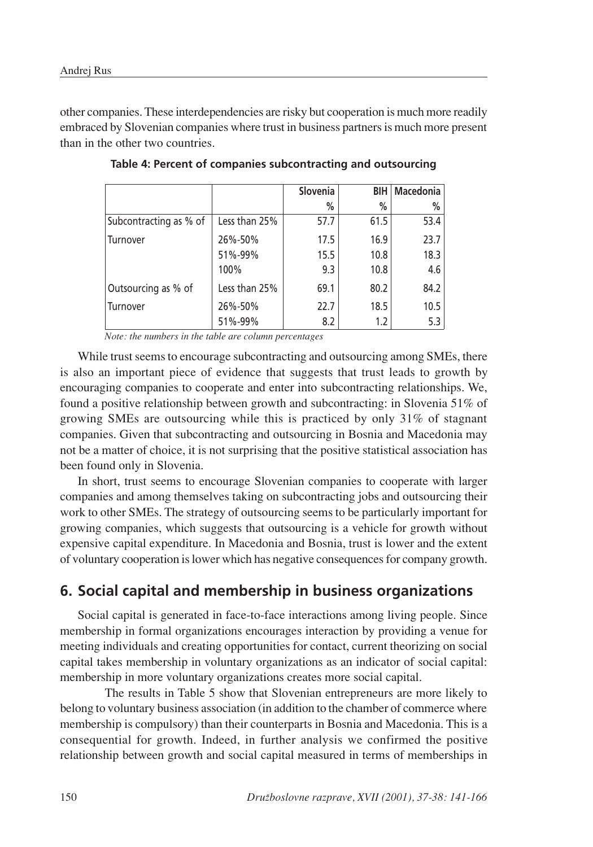other companies. These interdependencies are risky but cooperation is much more readily embraced by Slovenian companies where trust in business partners is much more present than in the other two countries.

|                        |               | Slovenia | BIH I | Macedonia |
|------------------------|---------------|----------|-------|-----------|
|                        |               | %        | %     | %         |
| Subcontracting as % of | Less than 25% | 57.7     | 61.5  | 53.4      |
| Turnover               | 26%-50%       | 17.5     | 16.9  | 23.7      |
|                        | 51%-99%       | 15.5     | 10.8  | 18.3      |
|                        | 100%          | 9.3      | 10.8  | 4.6       |
| Outsourcing as % of    | Less than 25% | 69.1     | 80.2  | 84.2      |
| Turnover               | 26%-50%       | 22.7     | 18.5  | 10.5      |
|                        | 51%-99%       | 8.2      | 1.2   | 5.3       |

**Table 4: Percent of companies subcontracting and outsourcing**

*Note: the numbers in the table are column percentages*

While trust seems to encourage subcontracting and outsourcing among SMEs, there is also an important piece of evidence that suggests that trust leads to growth by encouraging companies to cooperate and enter into subcontracting relationships. We, found a positive relationship between growth and subcontracting: in Slovenia 51% of growing SMEs are outsourcing while this is practiced by only 31% of stagnant companies. Given that subcontracting and outsourcing in Bosnia and Macedonia may not be a matter of choice, it is not surprising that the positive statistical association has been found only in Slovenia.

In short, trust seems to encourage Slovenian companies to cooperate with larger companies and among themselves taking on subcontracting jobs and outsourcing their work to other SMEs. The strategy of outsourcing seems to be particularly important for growing companies, which suggests that outsourcing is a vehicle for growth without expensive capital expenditure. In Macedonia and Bosnia, trust is lower and the extent of voluntary cooperation is lower which has negative consequences for company growth.

#### **6. Social capital and membership in business organizations**

Social capital is generated in face-to-face interactions among living people. Since membership in formal organizations encourages interaction by providing a venue for meeting individuals and creating opportunities for contact, current theorizing on social capital takes membership in voluntary organizations as an indicator of social capital: membership in more voluntary organizations creates more social capital.

The results in Table 5 show that Slovenian entrepreneurs are more likely to belong to voluntary business association (in addition to the chamber of commerce where membership is compulsory) than their counterparts in Bosnia and Macedonia. This is a consequential for growth. Indeed, in further analysis we confirmed the positive relationship between growth and social capital measured in terms of memberships in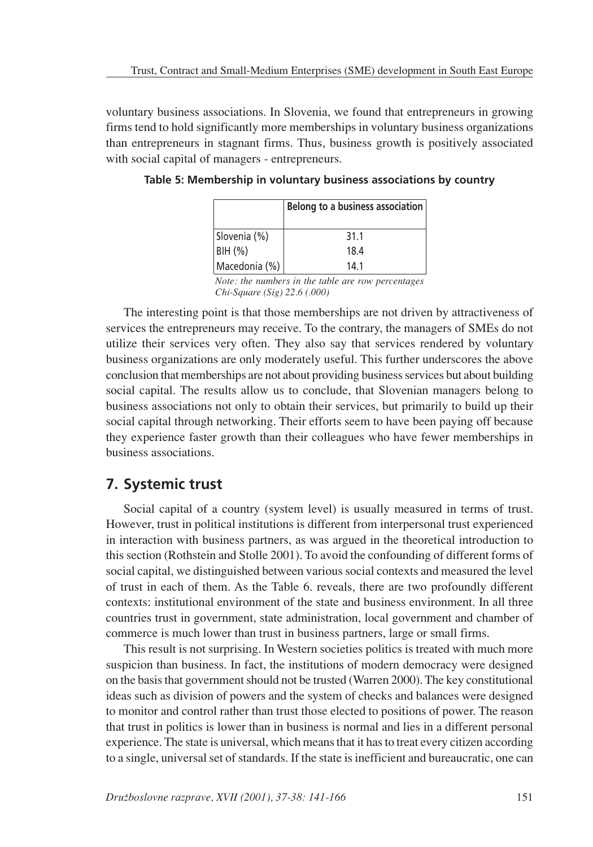voluntary business associations. In Slovenia, we found that entrepreneurs in growing firms tend to hold significantly more memberships in voluntary business organizations than entrepreneurs in stagnant firms. Thus, business growth is positively associated with social capital of managers - entrepreneurs.

|               | Belong to a business association |
|---------------|----------------------------------|
| Slovenia (%)  | 31.1                             |
| BH (%)        | 18.4                             |
| Macedonia (%) | 14.1                             |

**Table 5: Membership in voluntary business associations by country**

*Note: the numbers in the table are row percentages Chi-Square (Sig) 22.6 (.000)*

The interesting point is that those memberships are not driven by attractiveness of services the entrepreneurs may receive. To the contrary, the managers of SMEs do not utilize their services very often. They also say that services rendered by voluntary business organizations are only moderately useful. This further underscores the above conclusion that memberships are not about providing business services but about building social capital. The results allow us to conclude, that Slovenian managers belong to business associations not only to obtain their services, but primarily to build up their social capital through networking. Their efforts seem to have been paying off because they experience faster growth than their colleagues who have fewer memberships in business associations.

#### **7. Systemic trust**

Social capital of a country (system level) is usually measured in terms of trust. However, trust in political institutions is different from interpersonal trust experienced in interaction with business partners, as was argued in the theoretical introduction to this section (Rothstein and Stolle 2001). To avoid the confounding of different forms of social capital, we distinguished between various social contexts and measured the level of trust in each of them. As the Table 6. reveals, there are two profoundly different contexts: institutional environment of the state and business environment. In all three countries trust in government, state administration, local government and chamber of commerce is much lower than trust in business partners, large or small firms.

This result is not surprising. In Western societies politics is treated with much more suspicion than business. In fact, the institutions of modern democracy were designed on the basis that government should not be trusted (Warren 2000). The key constitutional ideas such as division of powers and the system of checks and balances were designed to monitor and control rather than trust those elected to positions of power. The reason that trust in politics is lower than in business is normal and lies in a different personal experience. The state is universal, which means that it has to treat every citizen according to a single, universal set of standards. If the state is inefficient and bureaucratic, one can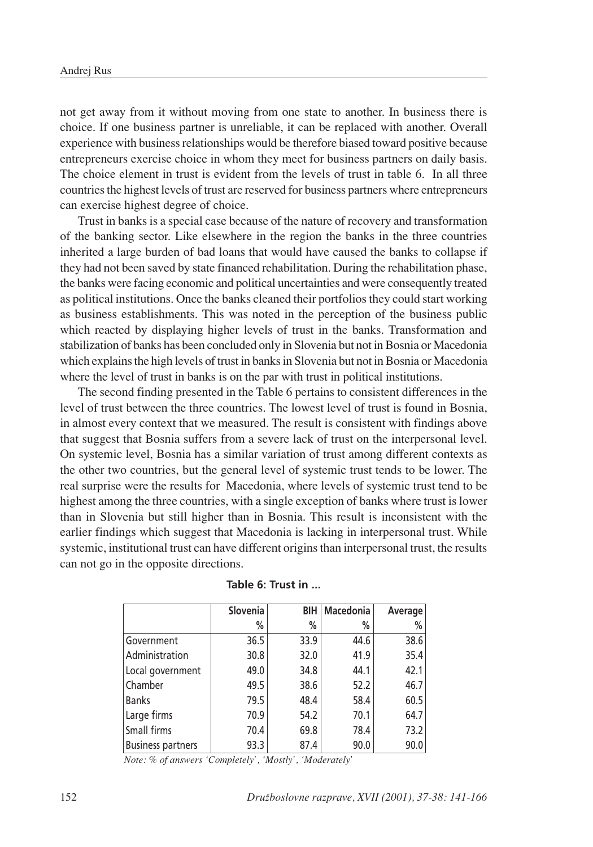not get away from it without moving from one state to another. In business there is choice. If one business partner is unreliable, it can be replaced with another. Overall experience with business relationships would be therefore biased toward positive because entrepreneurs exercise choice in whom they meet for business partners on daily basis. The choice element in trust is evident from the levels of trust in table 6. In all three countries the highest levels of trust are reserved for business partners where entrepreneurs can exercise highest degree of choice.

Trust in banks is a special case because of the nature of recovery and transformation of the banking sector. Like elsewhere in the region the banks in the three countries inherited a large burden of bad loans that would have caused the banks to collapse if they had not been saved by state financed rehabilitation. During the rehabilitation phase, the banks were facing economic and political uncertainties and were consequently treated as political institutions. Once the banks cleaned their portfolios they could start working as business establishments. This was noted in the perception of the business public which reacted by displaying higher levels of trust in the banks. Transformation and stabilization of banks has been concluded only in Slovenia but not in Bosnia or Macedonia which explains the high levels of trust in banks in Slovenia but not in Bosnia or Macedonia where the level of trust in banks is on the par with trust in political institutions.

The second finding presented in the Table 6 pertains to consistent differences in the level of trust between the three countries. The lowest level of trust is found in Bosnia, in almost every context that we measured. The result is consistent with findings above that suggest that Bosnia suffers from a severe lack of trust on the interpersonal level. On systemic level, Bosnia has a similar variation of trust among different contexts as the other two countries, but the general level of systemic trust tends to be lower. The real surprise were the results for Macedonia, where levels of systemic trust tend to be highest among the three countries, with a single exception of banks where trust is lower than in Slovenia but still higher than in Bosnia. This result is inconsistent with the earlier findings which suggest that Macedonia is lacking in interpersonal trust. While systemic, institutional trust can have different origins than interpersonal trust, the results can not go in the opposite directions.

|                          | Slovenia | <b>BIH</b> | <b>Macedonia</b> | Average |
|--------------------------|----------|------------|------------------|---------|
|                          | ℅        | $\%$       | %                | %       |
| Government               | 36.5     | 33.9       | 44.6             | 38.6    |
| Administration           | 30.8     | 32.0       | 41.9             | 35.4    |
| Local government         | 49.0     | 34.8       | 44.1             | 42.1    |
| Chamber                  | 49.5     | 38.6       | 52.2             | 46.7    |
| <b>Banks</b>             | 79.5     | 48.4       | 58.4             | 60.5    |
| Large firms              | 70.9     | 54.2       | 70.1             | 64.7    |
| Small firms              | 70.4     | 69.8       | 78.4             | 73.2    |
| <b>Business partners</b> | 93.3     | 87.4       | 90.0             | 90.0    |

| Table 6: Trust in |  |  |  |  |
|-------------------|--|--|--|--|
|-------------------|--|--|--|--|

 *Note: % of answers 'Completely', 'Mostly', 'Moderately'*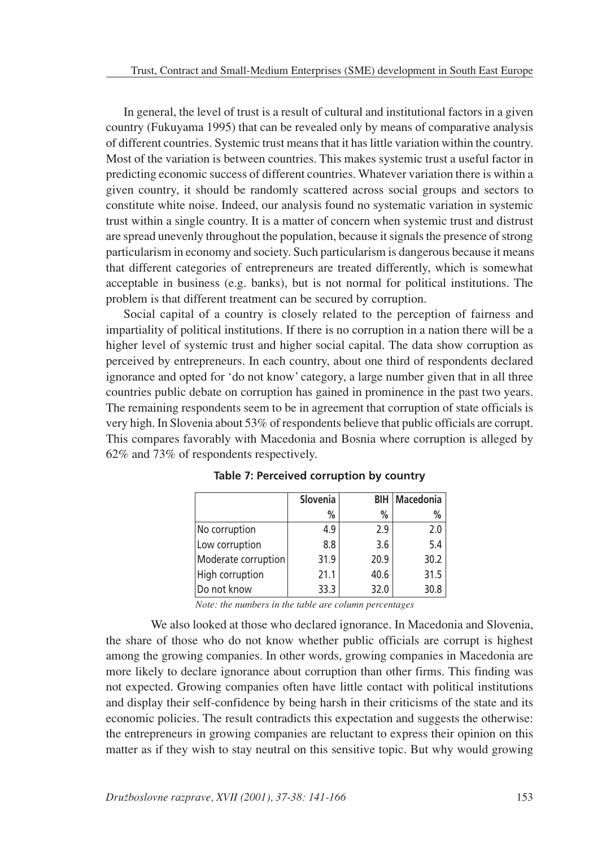In general, the level of trust is a result of cultural and institutional factors in a given country (Fukuyama 1995) that can be revealed only by means of comparative analysis of different countries. Systemic trust means that it has little variation within the country. Most of the variation is between countries. This makes systemic trust a useful factor in predicting economic success of different countries. Whatever variation there is within a given country, it should be randomly scattered across social groups and sectors to constitute white noise. Indeed, our analysis found no systematic variation in systemic trust within a single country. It is a matter of concern when systemic trust and distrust are spread unevenly throughout the population, because it signals the presence of strong particularism in economy and society. Such particularism is dangerous because it means that different categories of entrepreneurs are treated differently, which is somewhat acceptable in business (e.g. banks), but is not normal for political institutions. The problem is that different treatment can be secured by corruption.

Social capital of a country is closely related to the perception of fairness and impartiality of political institutions. If there is no corruption in a nation there will be a higher level of systemic trust and higher social capital. The data show corruption as perceived by entrepreneurs. In each country, about one third of respondents declared ignorance and opted for 'do not know' category, a large number given that in all three countries public debate on corruption has gained in prominence in the past two years. The remaining respondents seem to be in agreement that corruption of state officials is very high. In Slovenia about 53% of respondents believe that public officials are corrupt. This compares favorably with Macedonia and Bosnia where corruption is alleged by 62% and 73% of respondents respectively.

|                     | Slovenia |      | <b>BIH   Macedonia</b> |
|---------------------|----------|------|------------------------|
|                     | %        | %    | %                      |
| No corruption       | 4.9      | 2.9  | 2.0                    |
| Low corruption      | 8.8      | 3.6  | 5.4                    |
| Moderate corruption | 31.9     | 20.9 | 30.2                   |
| High corruption     | 21.1     | 40.6 | 31.5                   |
| Do not know         | 33.3     | 32.0 | 30.8                   |

**Table 7: Perceived corruption by country**

 *Note: the numbers in the table are column percentages*

We also looked at those who declared ignorance. In Macedonia and Slovenia, the share of those who do not know whether public officials are corrupt is highest among the growing companies. In other words, growing companies in Macedonia are more likely to declare ignorance about corruption than other firms. This finding was not expected. Growing companies often have little contact with political institutions and display their self-confidence by being harsh in their criticisms of the state and its economic policies. The result contradicts this expectation and suggests the otherwise: the entrepreneurs in growing companies are reluctant to express their opinion on this matter as if they wish to stay neutral on this sensitive topic. But why would growing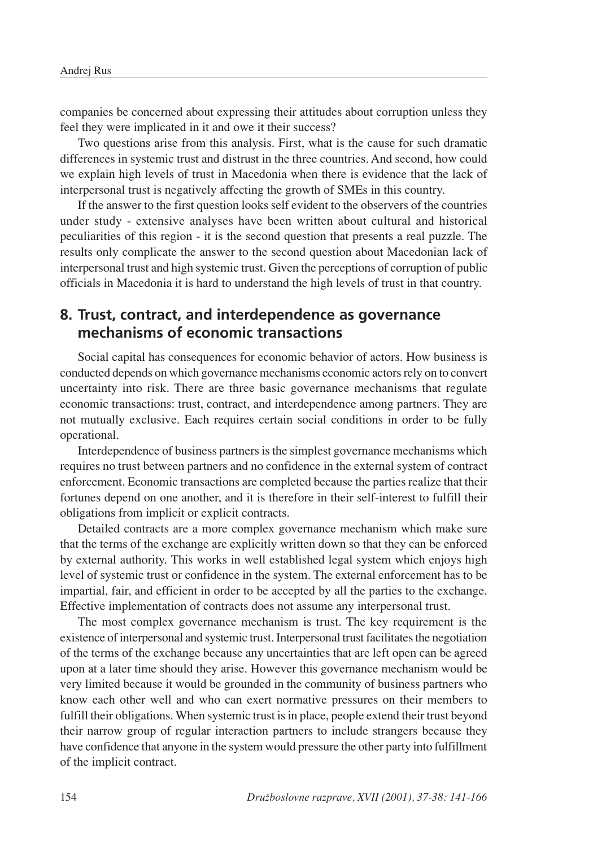companies be concerned about expressing their attitudes about corruption unless they feel they were implicated in it and owe it their success?

Two questions arise from this analysis. First, what is the cause for such dramatic differences in systemic trust and distrust in the three countries. And second, how could we explain high levels of trust in Macedonia when there is evidence that the lack of interpersonal trust is negatively affecting the growth of SMEs in this country.

If the answer to the first question looks self evident to the observers of the countries under study - extensive analyses have been written about cultural and historical peculiarities of this region - it is the second question that presents a real puzzle. The results only complicate the answer to the second question about Macedonian lack of interpersonal trust and high systemic trust. Given the perceptions of corruption of public officials in Macedonia it is hard to understand the high levels of trust in that country.

#### **8. Trust, contract, and interdependence as governance mechanisms of economic transactions**

Social capital has consequences for economic behavior of actors. How business is conducted depends on which governance mechanisms economic actors rely on to convert uncertainty into risk. There are three basic governance mechanisms that regulate economic transactions: trust, contract, and interdependence among partners. They are not mutually exclusive. Each requires certain social conditions in order to be fully operational.

Interdependence of business partners is the simplest governance mechanisms which requires no trust between partners and no confidence in the external system of contract enforcement. Economic transactions are completed because the parties realize that their fortunes depend on one another, and it is therefore in their self-interest to fulfill their obligations from implicit or explicit contracts.

Detailed contracts are a more complex governance mechanism which make sure that the terms of the exchange are explicitly written down so that they can be enforced by external authority. This works in well established legal system which enjoys high level of systemic trust or confidence in the system. The external enforcement has to be impartial, fair, and efficient in order to be accepted by all the parties to the exchange. Effective implementation of contracts does not assume any interpersonal trust.

The most complex governance mechanism is trust. The key requirement is the existence of interpersonal and systemic trust. Interpersonal trust facilitates the negotiation of the terms of the exchange because any uncertainties that are left open can be agreed upon at a later time should they arise. However this governance mechanism would be very limited because it would be grounded in the community of business partners who know each other well and who can exert normative pressures on their members to fulfill their obligations. When systemic trust is in place, people extend their trust beyond their narrow group of regular interaction partners to include strangers because they have confidence that anyone in the system would pressure the other party into fulfillment of the implicit contract.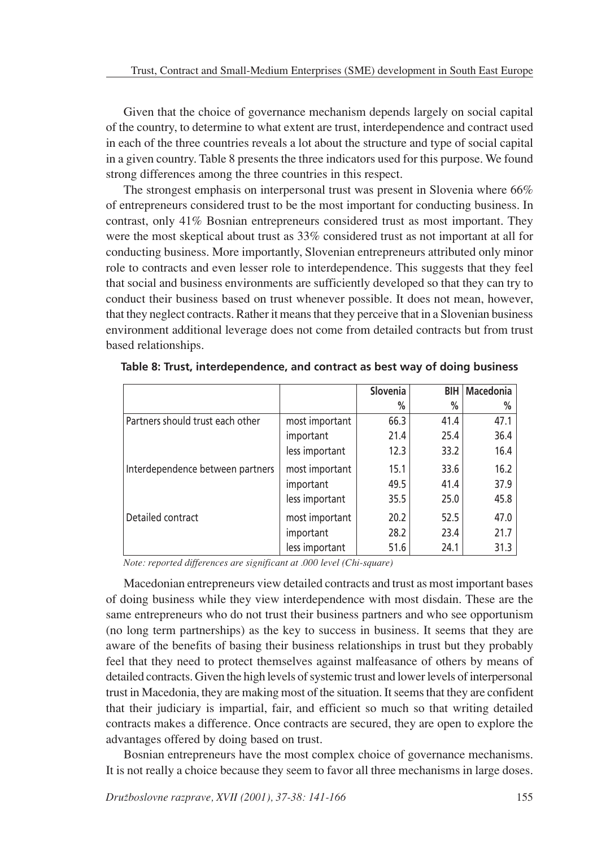Given that the choice of governance mechanism depends largely on social capital of the country, to determine to what extent are trust, interdependence and contract used in each of the three countries reveals a lot about the structure and type of social capital in a given country. Table 8 presents the three indicators used for this purpose. We found strong differences among the three countries in this respect.

The strongest emphasis on interpersonal trust was present in Slovenia where 66% of entrepreneurs considered trust to be the most important for conducting business. In contrast, only 41% Bosnian entrepreneurs considered trust as most important. They were the most skeptical about trust as 33% considered trust as not important at all for conducting business. More importantly, Slovenian entrepreneurs attributed only minor role to contracts and even lesser role to interdependence. This suggests that they feel that social and business environments are sufficiently developed so that they can try to conduct their business based on trust whenever possible. It does not mean, however, that they neglect contracts. Rather it means that they perceive that in a Slovenian business environment additional leverage does not come from detailed contracts but from trust based relationships.

|                                  |                | Slovenia | <b>BIH</b> | <b>Macedonia</b> |
|----------------------------------|----------------|----------|------------|------------------|
|                                  |                | $\%$     | %          | %                |
| Partners should trust each other | most important | 66.3     | 41.4       | 47.1             |
|                                  | important      | 21.4     | 25.4       | 36.4             |
|                                  | less important | 12.3     | 33.2       | 16.4             |
| Interdependence between partners | most important | 15.1     | 33.6       | 16.2             |
|                                  | important      | 49.5     | 41.4       | 37.9             |
|                                  | less important | 35.5     | 25.0       | 45.8             |
| Detailed contract                | most important | 20.2     | 52.5       | 47.0             |
|                                  | important      | 28.2     | 23.4       | 21.7             |
|                                  | less important | 51.6     | 24.1       | 31.3             |

**Table 8: Trust, interdependence, and contract as best way of doing business**

*Note: reported differences are significant at .000 level (Chi-square)*

Macedonian entrepreneurs view detailed contracts and trust as most important bases of doing business while they view interdependence with most disdain. These are the same entrepreneurs who do not trust their business partners and who see opportunism (no long term partnerships) as the key to success in business. It seems that they are aware of the benefits of basing their business relationships in trust but they probably feel that they need to protect themselves against malfeasance of others by means of detailed contracts. Given the high levels of systemic trust and lower levels of interpersonal trust in Macedonia, they are making most of the situation. It seems that they are confident that their judiciary is impartial, fair, and efficient so much so that writing detailed contracts makes a difference. Once contracts are secured, they are open to explore the advantages offered by doing based on trust.

Bosnian entrepreneurs have the most complex choice of governance mechanisms. It is not really a choice because they seem to favor all three mechanisms in large doses.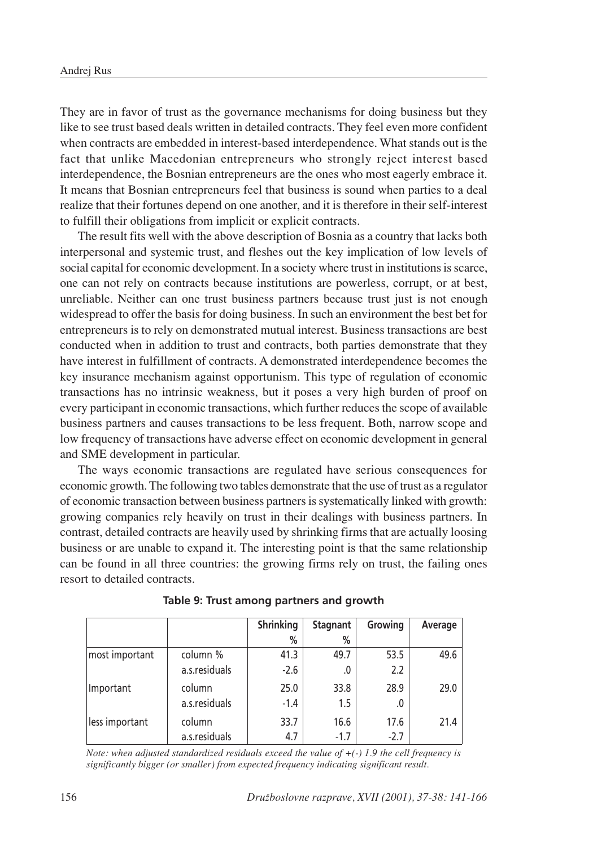They are in favor of trust as the governance mechanisms for doing business but they like to see trust based deals written in detailed contracts. They feel even more confident when contracts are embedded in interest-based interdependence. What stands out is the fact that unlike Macedonian entrepreneurs who strongly reject interest based interdependence, the Bosnian entrepreneurs are the ones who most eagerly embrace it. It means that Bosnian entrepreneurs feel that business is sound when parties to a deal realize that their fortunes depend on one another, and it is therefore in their self-interest to fulfill their obligations from implicit or explicit contracts.

The result fits well with the above description of Bosnia as a country that lacks both interpersonal and systemic trust, and fleshes out the key implication of low levels of social capital for economic development. In a society where trust in institutions is scarce, one can not rely on contracts because institutions are powerless, corrupt, or at best, unreliable. Neither can one trust business partners because trust just is not enough widespread to offer the basis for doing business. In such an environment the best bet for entrepreneurs is to rely on demonstrated mutual interest. Business transactions are best conducted when in addition to trust and contracts, both parties demonstrate that they have interest in fulfillment of contracts. A demonstrated interdependence becomes the key insurance mechanism against opportunism. This type of regulation of economic transactions has no intrinsic weakness, but it poses a very high burden of proof on every participant in economic transactions, which further reduces the scope of available business partners and causes transactions to be less frequent. Both, narrow scope and low frequency of transactions have adverse effect on economic development in general and SME development in particular.

The ways economic transactions are regulated have serious consequences for economic growth. The following two tables demonstrate that the use of trust as a regulator of economic transaction between business partners is systematically linked with growth: growing companies rely heavily on trust in their dealings with business partners. In contrast, detailed contracts are heavily used by shrinking firms that are actually loosing business or are unable to expand it. The interesting point is that the same relationship can be found in all three countries: the growing firms rely on trust, the failing ones resort to detailed contracts.

|                |               | <b>Shrinking</b> | <b>Stagnant</b> | Growing | Average |
|----------------|---------------|------------------|-----------------|---------|---------|
|                |               | %                | %               |         |         |
| most important | column %      | 41.3             | 49.7            | 53.5    | 49.6    |
|                | a.s.residuals | $-2.6$           | .0              | 2.2     |         |
| Important      | column        | 25.0             | 33.8            | 28.9    | 29.0    |
|                | a.s.residuals | $-1.4$           | 1.5             | .0      |         |
| less important | column        | 33.7             | 16.6            | 17.6    | 21.4    |
|                | a.s.residuals | 4.7              | $-1.7$          | $-2.7$  |         |

**Table 9: Trust among partners and growth**

*Note: when adjusted standardized residuals exceed the value of +(-) 1.9 the cell frequency is significantly bigger (or smaller) from expected frequency indicating significant result.*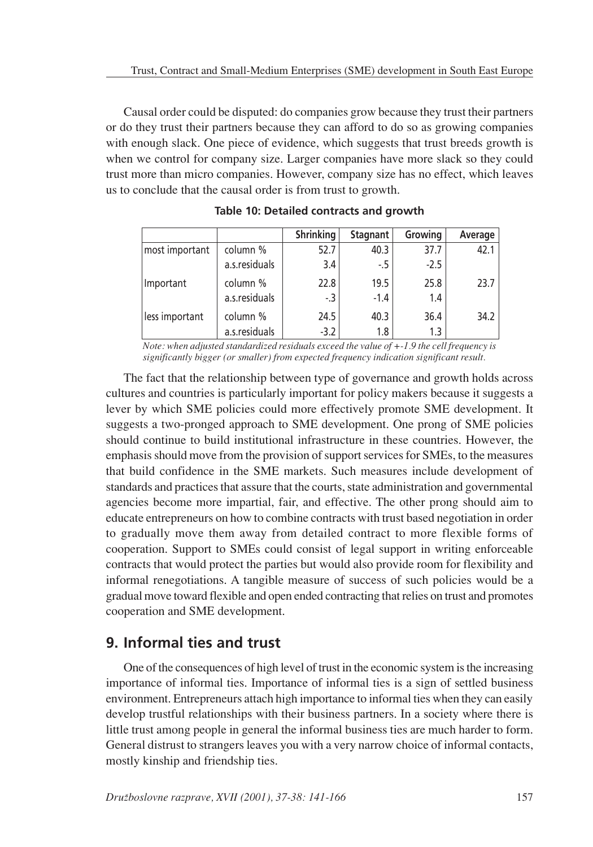Causal order could be disputed: do companies grow because they trust their partners or do they trust their partners because they can afford to do so as growing companies with enough slack. One piece of evidence, which suggests that trust breeds growth is when we control for company size. Larger companies have more slack so they could trust more than micro companies. However, company size has no effect, which leaves us to conclude that the causal order is from trust to growth.

|                |               | <b>Shrinking</b> | <b>Stagnant</b> | Growing | Average |
|----------------|---------------|------------------|-----------------|---------|---------|
| most important | column %      | 52.7             | 40.3            | 37.7    | 42.1    |
|                | a.s.residuals | 3.4              | $-5$            | $-2.5$  |         |
| Important      | column %      | 22.8             | 19.5            | 25.8    | 23.7    |
|                | a.s.residuals | $-3$             | $-1.4$          | 1.4     |         |
| less important | column %      | 24.5             | 40.3            | 36.4    | 34.2    |
|                | a.s.residuals | $-3.2$           | 1.8             | 1.3     |         |

**Table 10: Detailed contracts and growth**

*Note: when adjusted standardized residuals exceed the value of +-1.9 the cell frequency is significantly bigger (or smaller) from expected frequency indication significant result.*

The fact that the relationship between type of governance and growth holds across cultures and countries is particularly important for policy makers because it suggests a lever by which SME policies could more effectively promote SME development. It suggests a two-pronged approach to SME development. One prong of SME policies should continue to build institutional infrastructure in these countries. However, the emphasis should move from the provision of support services for SMEs, to the measures that build confidence in the SME markets. Such measures include development of standards and practices that assure that the courts, state administration and governmental agencies become more impartial, fair, and effective. The other prong should aim to educate entrepreneurs on how to combine contracts with trust based negotiation in order to gradually move them away from detailed contract to more flexible forms of cooperation. Support to SMEs could consist of legal support in writing enforceable contracts that would protect the parties but would also provide room for flexibility and informal renegotiations. A tangible measure of success of such policies would be a gradual move toward flexible and open ended contracting that relies on trust and promotes cooperation and SME development.

### **9. Informal ties and trust**

One of the consequences of high level of trust in the economic system is the increasing importance of informal ties. Importance of informal ties is a sign of settled business environment. Entrepreneurs attach high importance to informal ties when they can easily develop trustful relationships with their business partners. In a society where there is little trust among people in general the informal business ties are much harder to form. General distrust to strangers leaves you with a very narrow choice of informal contacts, mostly kinship and friendship ties.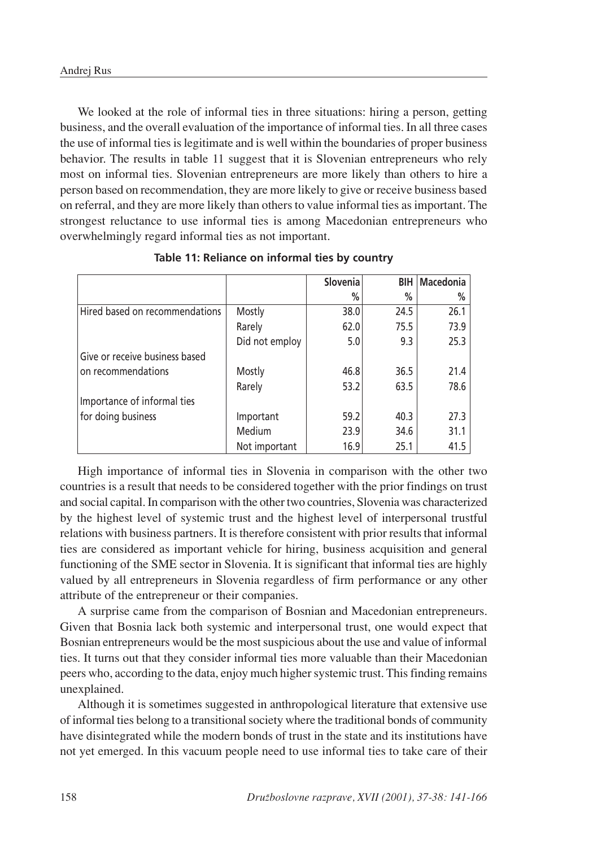We looked at the role of informal ties in three situations: hiring a person, getting business, and the overall evaluation of the importance of informal ties. In all three cases the use of informal ties is legitimate and is well within the boundaries of proper business behavior. The results in table 11 suggest that it is Slovenian entrepreneurs who rely most on informal ties. Slovenian entrepreneurs are more likely than others to hire a person based on recommendation, they are more likely to give or receive business based on referral, and they are more likely than others to value informal ties as important. The strongest reluctance to use informal ties is among Macedonian entrepreneurs who overwhelmingly regard informal ties as not important.

|                                |                | Slovenia | BIH I | <b>Macedonia</b> |
|--------------------------------|----------------|----------|-------|------------------|
|                                |                | %        | $\%$  | %                |
| Hired based on recommendations | Mostly         | 38.0     | 24.5  | 26.1             |
|                                | Rarely         | 62.0     | 75.5  | 73.9             |
|                                | Did not employ | 5.0      | 9.3   | 25.3             |
| Give or receive business based |                |          |       |                  |
| on recommendations             | Mostly         | 46.8     | 36.5  | 21.4             |
|                                | Rarely         | 53.2     | 63.5  | 78.6             |
| Importance of informal ties    |                |          |       |                  |
| for doing business             | Important      | 59.2     | 40.3  | 27.3             |
|                                | Medium         | 23.9     | 34.6  | 31.1             |
|                                | Not important  | 16.9     | 25.1  | 41.5             |

#### **Table 11: Reliance on informal ties by country**

High importance of informal ties in Slovenia in comparison with the other two countries is a result that needs to be considered together with the prior findings on trust and social capital. In comparison with the other two countries, Slovenia was characterized by the highest level of systemic trust and the highest level of interpersonal trustful relations with business partners. It is therefore consistent with prior results that informal ties are considered as important vehicle for hiring, business acquisition and general functioning of the SME sector in Slovenia. It is significant that informal ties are highly valued by all entrepreneurs in Slovenia regardless of firm performance or any other attribute of the entrepreneur or their companies.

A surprise came from the comparison of Bosnian and Macedonian entrepreneurs. Given that Bosnia lack both systemic and interpersonal trust, one would expect that Bosnian entrepreneurs would be the most suspicious about the use and value of informal ties. It turns out that they consider informal ties more valuable than their Macedonian peers who, according to the data, enjoy much higher systemic trust. This finding remains unexplained.

Although it is sometimes suggested in anthropological literature that extensive use of informal ties belong to a transitional society where the traditional bonds of community have disintegrated while the modern bonds of trust in the state and its institutions have not yet emerged. In this vacuum people need to use informal ties to take care of their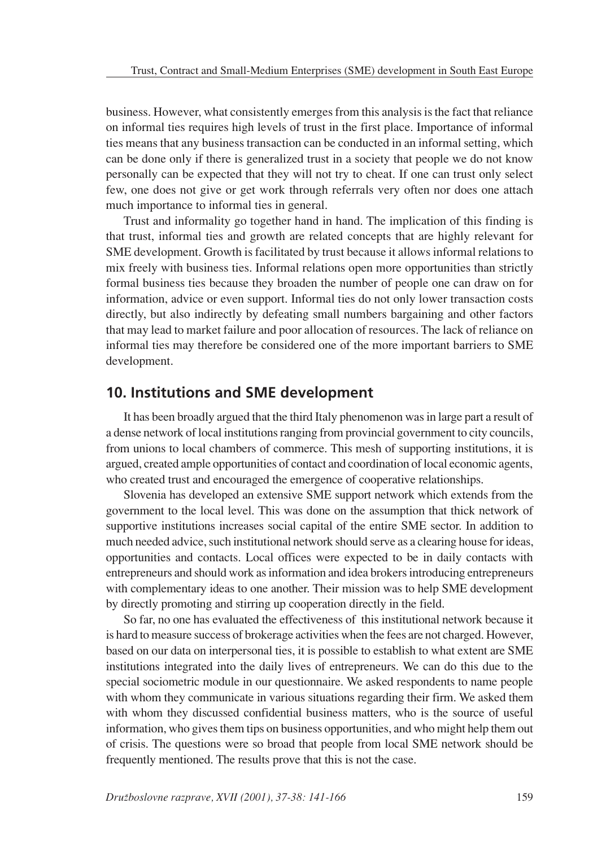business. However, what consistently emerges from this analysis is the fact that reliance on informal ties requires high levels of trust in the first place. Importance of informal ties means that any business transaction can be conducted in an informal setting, which can be done only if there is generalized trust in a society that people we do not know personally can be expected that they will not try to cheat. If one can trust only select few, one does not give or get work through referrals very often nor does one attach much importance to informal ties in general.

Trust and informality go together hand in hand. The implication of this finding is that trust, informal ties and growth are related concepts that are highly relevant for SME development. Growth is facilitated by trust because it allows informal relations to mix freely with business ties. Informal relations open more opportunities than strictly formal business ties because they broaden the number of people one can draw on for information, advice or even support. Informal ties do not only lower transaction costs directly, but also indirectly by defeating small numbers bargaining and other factors that may lead to market failure and poor allocation of resources. The lack of reliance on informal ties may therefore be considered one of the more important barriers to SME development.

#### **10. Institutions and SME development**

It has been broadly argued that the third Italy phenomenon was in large part a result of a dense network of local institutions ranging from provincial government to city councils, from unions to local chambers of commerce. This mesh of supporting institutions, it is argued, created ample opportunities of contact and coordination of local economic agents, who created trust and encouraged the emergence of cooperative relationships.

Slovenia has developed an extensive SME support network which extends from the government to the local level. This was done on the assumption that thick network of supportive institutions increases social capital of the entire SME sector. In addition to much needed advice, such institutional network should serve as a clearing house for ideas, opportunities and contacts. Local offices were expected to be in daily contacts with entrepreneurs and should work as information and idea brokers introducing entrepreneurs with complementary ideas to one another. Their mission was to help SME development by directly promoting and stirring up cooperation directly in the field.

So far, no one has evaluated the effectiveness of this institutional network because it is hard to measure success of brokerage activities when the fees are not charged. However, based on our data on interpersonal ties, it is possible to establish to what extent are SME institutions integrated into the daily lives of entrepreneurs. We can do this due to the special sociometric module in our questionnaire. We asked respondents to name people with whom they communicate in various situations regarding their firm. We asked them with whom they discussed confidential business matters, who is the source of useful information, who gives them tips on business opportunities, and who might help them out of crisis. The questions were so broad that people from local SME network should be frequently mentioned. The results prove that this is not the case.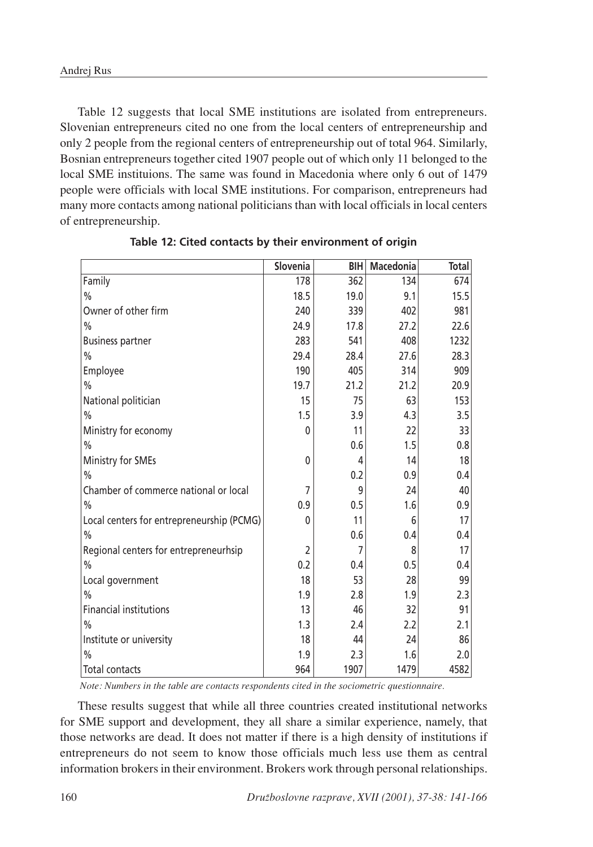Table 12 suggests that local SME institutions are isolated from entrepreneurs. Slovenian entrepreneurs cited no one from the local centers of entrepreneurship and only 2 people from the regional centers of entrepreneurship out of total 964. Similarly, Bosnian entrepreneurs together cited 1907 people out of which only 11 belonged to the local SME instituions. The same was found in Macedonia where only 6 out of 1479 people were officials with local SME institutions. For comparison, entrepreneurs had many more contacts among national politicians than with local officials in local centers of entrepreneurship.

|                                           | Slovenia       | <b>BIH</b> | Macedonia | <b>Total</b> |
|-------------------------------------------|----------------|------------|-----------|--------------|
| Family                                    | 178            | 362        | 134       | 674          |
| $\%$                                      | 18.5           | 19.0       | 9.1       | 15.5         |
| Owner of other firm                       | 240            | 339        | 402       | 981          |
| $\%$                                      | 24.9           | 17.8       | 27.2      | 22.6         |
| <b>Business partner</b>                   | 283            | 541        | 408       | 1232         |
| $\%$                                      | 29.4           | 28.4       | 27.6      | 28.3         |
| Employee                                  | 190            | 405        | 314       | 909          |
| $\frac{0}{0}$                             | 19.7           | 21.2       | 21.2      | 20.9         |
| National politician                       | 15             | 75         | 63        | 153          |
| $\frac{0}{0}$                             | 1.5            | 3.9        | 4.3       | 3.5          |
| Ministry for economy                      | $\mathbf{0}$   | 11         | 22        | 33           |
| $\%$                                      |                | 0.6        | 1.5       | 0.8          |
| Ministry for SMEs                         | 0              | 4          | 14        | 18           |
| $\frac{0}{0}$                             |                | 0.2        | 0.9       | 0.4          |
| Chamber of commerce national or local     | 7              | 9          | 24        | 40           |
| $\frac{0}{0}$                             | 0.9            | 0.5        | 1.6       | 0.9          |
| Local centers for entrepreneurship (PCMG) | $\mathbf{0}$   | 11         | 6         | 17           |
| $\%$                                      |                | 0.6        | 0.4       | 0.4          |
| Regional centers for entrepreneurhsip     | $\overline{2}$ | 7          | 8         | 17           |
| $\frac{0}{0}$                             | 0.2            | 0.4        | 0.5       | 0.4          |
| Local government                          | 18             | 53         | 28        | 99           |
| $\frac{0}{0}$                             | 1.9            | 2.8        | 1.9       | 2.3          |
| <b>Financial institutions</b>             | 13             | 46         | 32        | 91           |
| $\%$                                      | 1.3            | 2.4        | 2.2       | 2.1          |
| Institute or university                   | 18             | 44         | 24        | 86           |
| $\frac{0}{0}$                             | 1.9            | 2.3        | 1.6       | 2.0          |
| <b>Total contacts</b>                     | 964            | 1907       | 1479      | 4582         |

**Table 12: Cited contacts by their environment of origin**

 *Note: Numbers in the table are contacts respondents cited in the sociometric questionnaire.*

These results suggest that while all three countries created institutional networks for SME support and development, they all share a similar experience, namely, that those networks are dead. It does not matter if there is a high density of institutions if entrepreneurs do not seem to know those officials much less use them as central information brokers in their environment. Brokers work through personal relationships.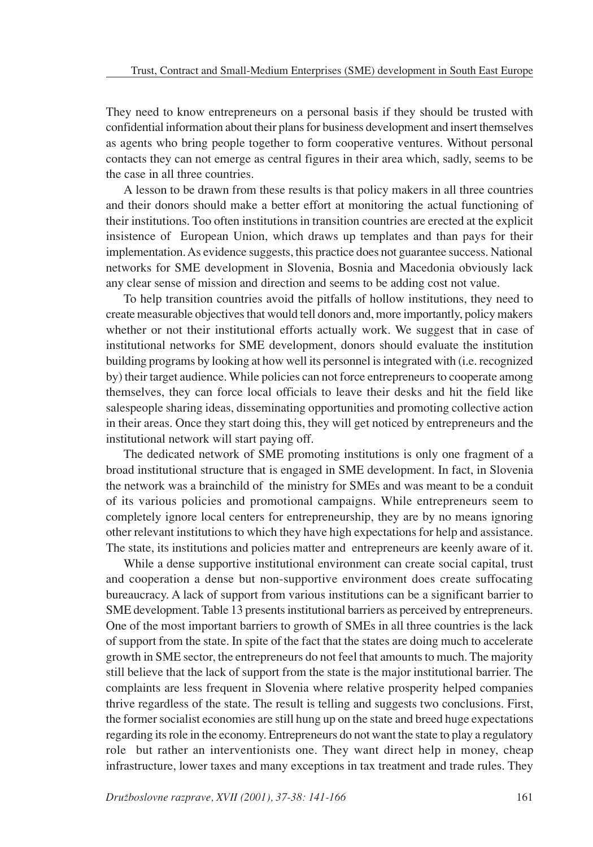They need to know entrepreneurs on a personal basis if they should be trusted with confidential information about their plans for business development and insert themselves as agents who bring people together to form cooperative ventures. Without personal contacts they can not emerge as central figures in their area which, sadly, seems to be the case in all three countries.

A lesson to be drawn from these results is that policy makers in all three countries and their donors should make a better effort at monitoring the actual functioning of their institutions. Too often institutions in transition countries are erected at the explicit insistence of European Union, which draws up templates and than pays for their implementation. As evidence suggests, this practice does not guarantee success. National networks for SME development in Slovenia, Bosnia and Macedonia obviously lack any clear sense of mission and direction and seems to be adding cost not value.

To help transition countries avoid the pitfalls of hollow institutions, they need to create measurable objectives that would tell donors and, more importantly, policy makers whether or not their institutional efforts actually work. We suggest that in case of institutional networks for SME development, donors should evaluate the institution building programs by looking at how well its personnel is integrated with (i.e. recognized by) their target audience. While policies can not force entrepreneurs to cooperate among themselves, they can force local officials to leave their desks and hit the field like salespeople sharing ideas, disseminating opportunities and promoting collective action in their areas. Once they start doing this, they will get noticed by entrepreneurs and the institutional network will start paying off.

The dedicated network of SME promoting institutions is only one fragment of a broad institutional structure that is engaged in SME development. In fact, in Slovenia the network was a brainchild of the ministry for SMEs and was meant to be a conduit of its various policies and promotional campaigns. While entrepreneurs seem to completely ignore local centers for entrepreneurship, they are by no means ignoring other relevant institutions to which they have high expectations for help and assistance. The state, its institutions and policies matter and entrepreneurs are keenly aware of it.

While a dense supportive institutional environment can create social capital, trust and cooperation a dense but non-supportive environment does create suffocating bureaucracy. A lack of support from various institutions can be a significant barrier to SME development. Table 13 presents institutional barriers as perceived by entrepreneurs. One of the most important barriers to growth of SMEs in all three countries is the lack of support from the state. In spite of the fact that the states are doing much to accelerate growth in SME sector, the entrepreneurs do not feel that amounts to much. The majority still believe that the lack of support from the state is the major institutional barrier. The complaints are less frequent in Slovenia where relative prosperity helped companies thrive regardless of the state. The result is telling and suggests two conclusions. First, the former socialist economies are still hung up on the state and breed huge expectations regarding its role in the economy. Entrepreneurs do not want the state to play a regulatory role but rather an interventionists one. They want direct help in money, cheap infrastructure, lower taxes and many exceptions in tax treatment and trade rules. They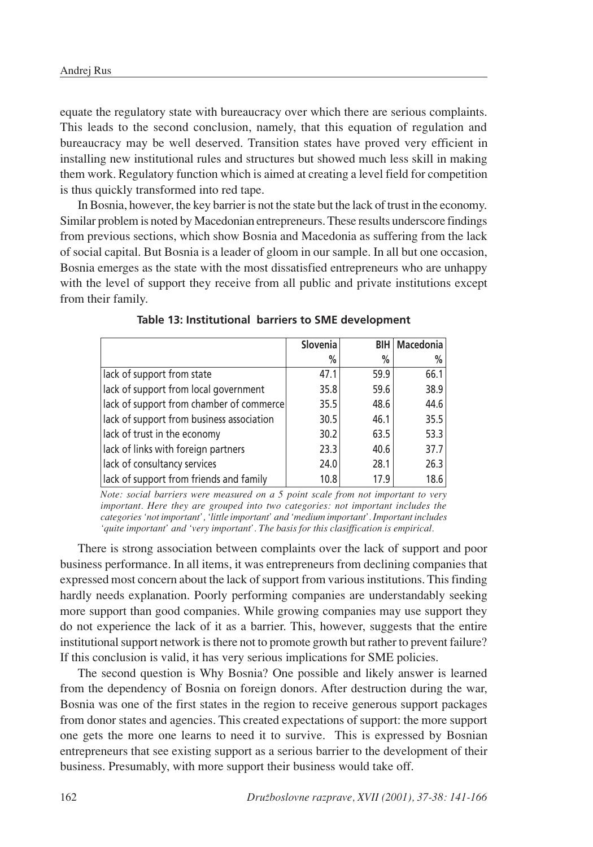equate the regulatory state with bureaucracy over which there are serious complaints. This leads to the second conclusion, namely, that this equation of regulation and bureaucracy may be well deserved. Transition states have proved very efficient in installing new institutional rules and structures but showed much less skill in making them work. Regulatory function which is aimed at creating a level field for competition is thus quickly transformed into red tape.

In Bosnia, however, the key barrier is not the state but the lack of trust in the economy. Similar problem is noted by Macedonian entrepreneurs. These results underscore findings from previous sections, which show Bosnia and Macedonia as suffering from the lack of social capital. But Bosnia is a leader of gloom in our sample. In all but one occasion, Bosnia emerges as the state with the most dissatisfied entrepreneurs who are unhappy with the level of support they receive from all public and private institutions except from their family.

|                                           | Slovenia | <b>BIH</b> | <b>Macedonia</b> |
|-------------------------------------------|----------|------------|------------------|
|                                           | %        | %          | %                |
| lack of support from state                | 47.1     | 59.9       | 66.1             |
| lack of support from local government     | 35.8     | 59.6       | 38.9             |
| lack of support from chamber of commerce  | 35.5     | 48.6       | 44.6             |
| lack of support from business association | 30.5     | 46.1       | 35.5             |
| lack of trust in the economy              | 30.2     | 63.5       | 53.3             |
| lack of links with foreign partners       | 23.3     | 40.6       | 37.7             |
| lack of consultancy services              | 24.0     | 28.1       | 26.3             |
| lack of support from friends and family   | 10.8     | 17.9       | 18.6             |

**Table 13: Institutional barriers to SME development**

*Note: social barriers were measured on a 5 point scale from not important to very important. Here they are grouped into two categories: not important includes the categories 'not important', 'little important' and 'medium important'. Important includes 'quite important' and 'very important'. The basis for this clasiffication is empirical.*

There is strong association between complaints over the lack of support and poor business performance. In all items, it was entrepreneurs from declining companies that expressed most concern about the lack of support from various institutions. This finding hardly needs explanation. Poorly performing companies are understandably seeking more support than good companies. While growing companies may use support they do not experience the lack of it as a barrier. This, however, suggests that the entire institutional support network is there not to promote growth but rather to prevent failure? If this conclusion is valid, it has very serious implications for SME policies.

The second question is Why Bosnia? One possible and likely answer is learned from the dependency of Bosnia on foreign donors. After destruction during the war, Bosnia was one of the first states in the region to receive generous support packages from donor states and agencies. This created expectations of support: the more support one gets the more one learns to need it to survive. This is expressed by Bosnian entrepreneurs that see existing support as a serious barrier to the development of their business. Presumably, with more support their business would take off.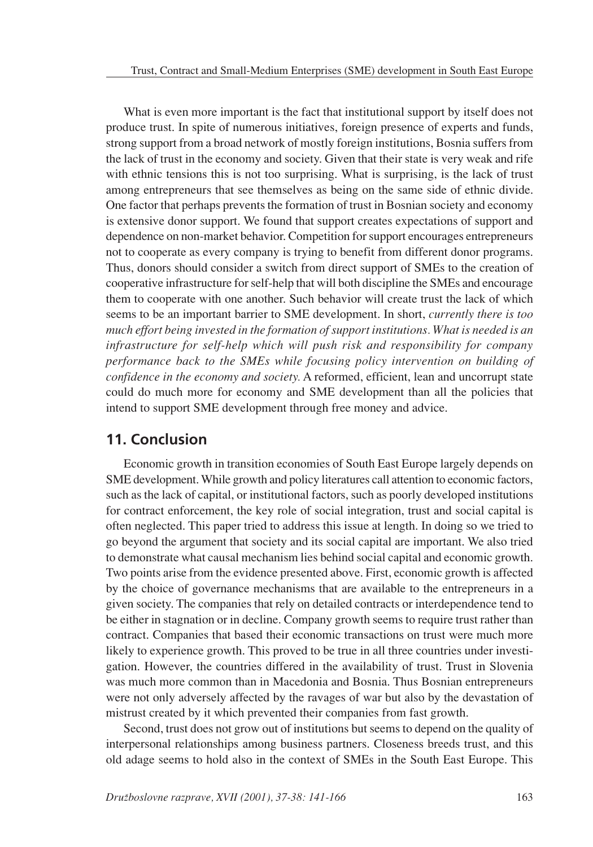What is even more important is the fact that institutional support by itself does not produce trust. In spite of numerous initiatives, foreign presence of experts and funds, strong support from a broad network of mostly foreign institutions, Bosnia suffers from the lack of trust in the economy and society. Given that their state is very weak and rife with ethnic tensions this is not too surprising. What is surprising, is the lack of trust among entrepreneurs that see themselves as being on the same side of ethnic divide. One factor that perhaps prevents the formation of trust in Bosnian society and economy is extensive donor support. We found that support creates expectations of support and dependence on non-market behavior. Competition for support encourages entrepreneurs not to cooperate as every company is trying to benefit from different donor programs. Thus, donors should consider a switch from direct support of SMEs to the creation of cooperative infrastructure for self-help that will both discipline the SMEs and encourage them to cooperate with one another. Such behavior will create trust the lack of which seems to be an important barrier to SME development. In short, *currently there is too much effort being invested in the formation of support institutions. What is needed is an infrastructure for self-help which will push risk and responsibility for company performance back to the SMEs while focusing policy intervention on building of confidence in the economy and society.* A reformed, efficient, lean and uncorrupt state could do much more for economy and SME development than all the policies that intend to support SME development through free money and advice.

#### **11. Conclusion**

Economic growth in transition economies of South East Europe largely depends on SME development. While growth and policy literatures call attention to economic factors, such as the lack of capital, or institutional factors, such as poorly developed institutions for contract enforcement, the key role of social integration, trust and social capital is often neglected. This paper tried to address this issue at length. In doing so we tried to go beyond the argument that society and its social capital are important. We also tried to demonstrate what causal mechanism lies behind social capital and economic growth. Two points arise from the evidence presented above. First, economic growth is affected by the choice of governance mechanisms that are available to the entrepreneurs in a given society. The companies that rely on detailed contracts or interdependence tend to be either in stagnation or in decline. Company growth seems to require trust rather than contract. Companies that based their economic transactions on trust were much more likely to experience growth. This proved to be true in all three countries under investigation. However, the countries differed in the availability of trust. Trust in Slovenia was much more common than in Macedonia and Bosnia. Thus Bosnian entrepreneurs were not only adversely affected by the ravages of war but also by the devastation of mistrust created by it which prevented their companies from fast growth.

Second, trust does not grow out of institutions but seems to depend on the quality of interpersonal relationships among business partners. Closeness breeds trust, and this old adage seems to hold also in the context of SMEs in the South East Europe. This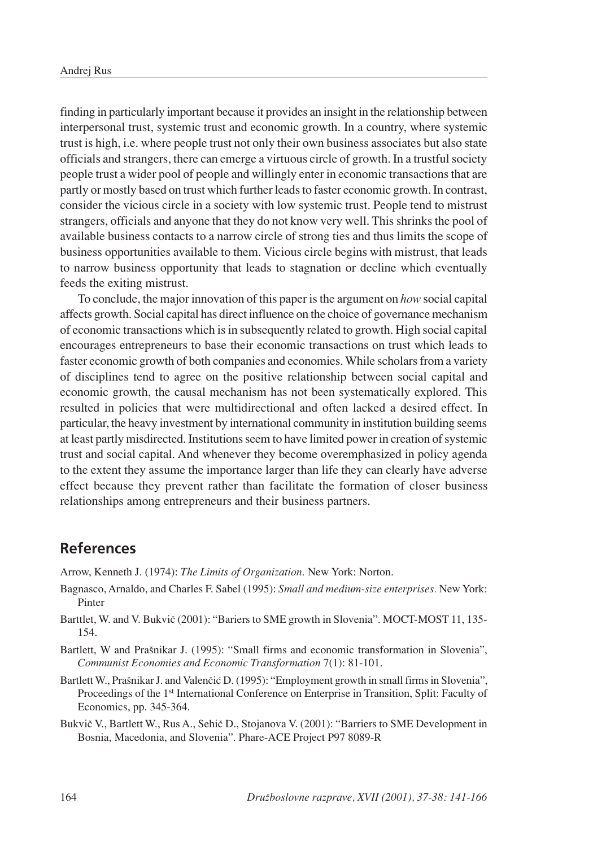finding in particularly important because it provides an insight in the relationship between interpersonal trust, systemic trust and economic growth. In a country, where systemic trust is high, i.e. where people trust not only their own business associates but also state officials and strangers, there can emerge a virtuous circle of growth. In a trustful society people trust a wider pool of people and willingly enter in economic transactions that are partly or mostly based on trust which further leads to faster economic growth. In contrast, consider the vicious circle in a society with low systemic trust. People tend to mistrust strangers, officials and anyone that they do not know very well. This shrinks the pool of available business contacts to a narrow circle of strong ties and thus limits the scope of business opportunities available to them. Vicious circle begins with mistrust, that leads to narrow business opportunity that leads to stagnation or decline which eventually feeds the exiting mistrust.

To conclude, the major innovation of this paper is the argument on *how* social capital affects growth. Social capital has direct influence on the choice of governance mechanism of economic transactions which is in subsequently related to growth. High social capital encourages entrepreneurs to base their economic transactions on trust which leads to faster economic growth of both companies and economies. While scholars from a variety of disciplines tend to agree on the positive relationship between social capital and economic growth, the causal mechanism has not been systematically explored. This resulted in policies that were multidirectional and often lacked a desired effect. In particular, the heavy investment by international community in institution building seems at least partly misdirected. Institutions seem to have limited power in creation of systemic trust and social capital. And whenever they become overemphasized in policy agenda to the extent they assume the importance larger than life they can clearly have adverse effect because they prevent rather than facilitate the formation of closer business relationships among entrepreneurs and their business partners.

#### **References**

Arrow, Kenneth J. (1974): *The Limits of Organization.* New York: Norton.

- Bagnasco, Arnaldo, and Charles F. Sabel (1995): *Small and medium-size enterprises.* New York: Pinter
- Barttlet, W. and V. Bukvič (2001): "Bariers to SME growth in Slovenia". MOCT-MOST 11, 135-154.
- Bartlett, W and Prašnikar J. (1995): "Small firms and economic transformation in Slovenia", *Communist Economies and Economic Transformation* 7(1): 81-101.
- Bartlett W., Prašnikar J. and Valenčić D. (1995): "Employment growth in small firms in Slovenia", Proceedings of the 1<sup>st</sup> International Conference on Enterprise in Transition, Split: Faculty of Economics, pp. 345-364.
- BukviË V., Bartlett W., Rus A., SehiË D., Stojanova V. (2001): "Barriers to SME Development in Bosnia, Macedonia, and Slovenia". Phare-ACE Project P97 8089-R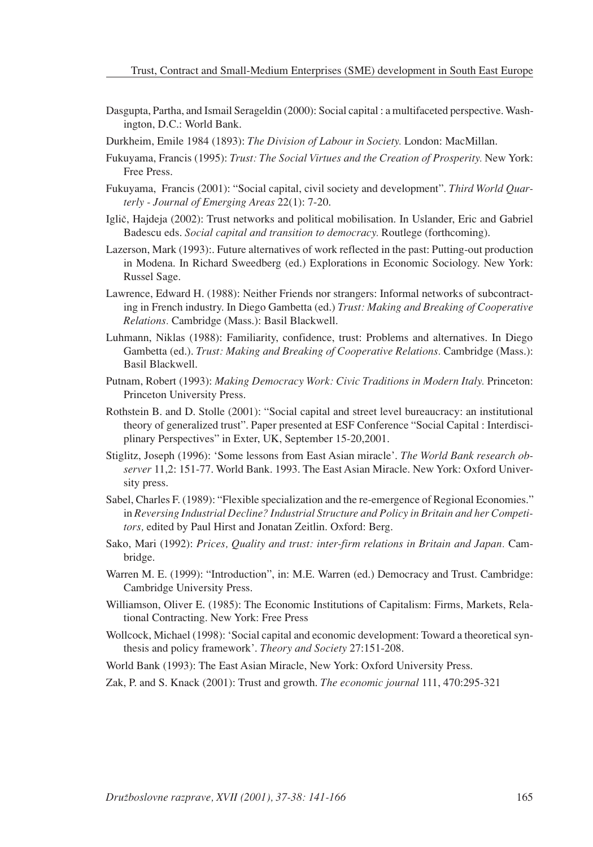- Dasgupta, Partha, and Ismail Serageldin (2000): Social capital : a multifaceted perspective. Washington, D.C.: World Bank.
- Durkheim, Emile 1984 (1893): *The Division of Labour in Society.* London: MacMillan.
- Fukuyama, Francis (1995): *Trust: The Social Virtues and the Creation of Prosperity.* New York: Free Press.
- Fukuyama, Francis (2001): "Social capital, civil society and development". *Third World Quarterly - Journal of Emerging Areas* 22(1): 7-20.
- IgliË, Hajdeja (2002): Trust networks and political mobilisation. In Uslander, Eric and Gabriel Badescu eds. *Social capital and transition to democracy.* Routlege (forthcoming).
- Lazerson, Mark (1993):. Future alternatives of work reflected in the past: Putting-out production in Modena. In Richard Sweedberg (ed.) Explorations in Economic Sociology. New York: Russel Sage.
- Lawrence, Edward H. (1988): Neither Friends nor strangers: Informal networks of subcontracting in French industry. In Diego Gambetta (ed.) *Trust: Making and Breaking of Cooperative Relations.* Cambridge (Mass.): Basil Blackwell.
- Luhmann, Niklas (1988): Familiarity, confidence, trust: Problems and alternatives. In Diego Gambetta (ed.). *Trust: Making and Breaking of Cooperative Relations.* Cambridge (Mass.): Basil Blackwell.
- Putnam, Robert (1993): *Making Democracy Work: Civic Traditions in Modern Italy.* Princeton: Princeton University Press.
- Rothstein B. and D. Stolle (2001): "Social capital and street level bureaucracy: an institutional theory of generalized trust". Paper presented at ESF Conference "Social Capital : Interdisciplinary Perspectives" in Exter, UK, September 15-20,2001.
- Stiglitz, Joseph (1996): 'Some lessons from East Asian miracle'. *The World Bank research observer* 11,2: 151-77. World Bank. 1993. The East Asian Miracle. New York: Oxford University press.
- Sabel, Charles F. (1989): "Flexible specialization and the re-emergence of Regional Economies." in *Reversing Industrial Decline? Industrial Structure and Policy in Britain and her Competitors,* edited by Paul Hirst and Jonatan Zeitlin. Oxford: Berg.
- Sako, Mari (1992): *Prices, Quality and trust: inter-firm relations in Britain and Japan.* Cambridge.
- Warren M. E. (1999): "Introduction", in: M.E. Warren (ed.) Democracy and Trust. Cambridge: Cambridge University Press.
- Williamson, Oliver E. (1985): The Economic Institutions of Capitalism: Firms, Markets, Relational Contracting. New York: Free Press
- Wollcock, Michael (1998): 'Social capital and economic development: Toward a theoretical synthesis and policy framework'. *Theory and Society* 27:151-208.
- World Bank (1993): The East Asian Miracle, New York: Oxford University Press.
- Zak, P. and S. Knack (2001): Trust and growth. *The economic journal* 111, 470:295-321